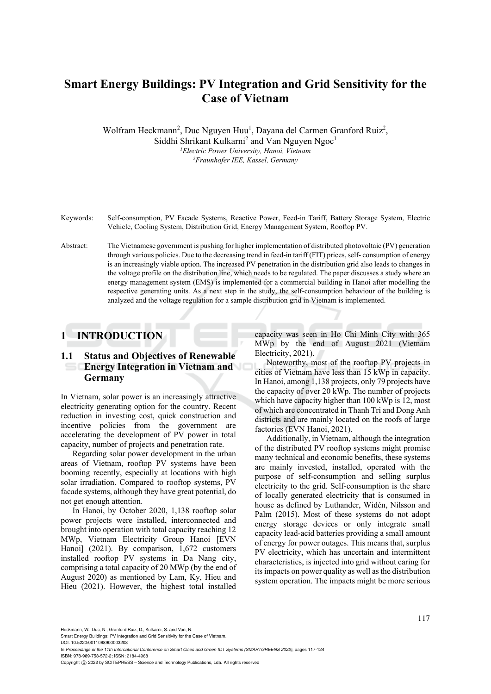# **Smart Energy Buildings: PV Integration and Grid Sensitivity for the Case of Vietnam**

Wolfram Heckmann<sup>2</sup>, Duc Nguyen Huu<sup>1</sup>, Dayana del Carmen Granford Ruiz<sup>2</sup>, Siddhi Shrikant Kulkarni<sup>2</sup> and Van Nguyen Ngoc<sup>1</sup> *1 Electric Power University, Hanoi, Vietnam 2Fraunhofer IEE, Kassel, Germany* 

- Keywords: Self-consumption, PV Facade Systems, Reactive Power, Feed-in Tariff, Battery Storage System, Electric Vehicle, Cooling System, Distribution Grid, Energy Management System, Rooftop PV.
- Abstract: The Vietnamese government is pushing for higher implementation of distributed photovoltaic (PV) generation through various policies. Due to the decreasing trend in feed-in tariff (FIT) prices, self- consumption of energy is an increasingly viable option. The increased PV penetration in the distribution grid also leads to changes in the voltage profile on the distribution line, which needs to be regulated. The paper discusses a study where an energy management system (EMS) is implemented for a commercial building in Hanoi after modelling the respective generating units. As a next step in the study, the self-consumption behaviour of the building is analyzed and the voltage regulation for a sample distribution grid in Vietnam is implemented.

## **1 INTRODUCTION**

### **1.1 Status and Objectives of Renewable Energy Integration in Vietnam and Germany**

In Vietnam, solar power is an increasingly attractive electricity generating option for the country. Recent reduction in investing cost, quick construction and incentive policies from the government are accelerating the development of PV power in total capacity, number of projects and penetration rate.

Regarding solar power development in the urban areas of Vietnam, rooftop PV systems have been booming recently, especially at locations with high solar irradiation. Compared to rooftop systems, PV facade systems, although they have great potential, do not get enough attention.

In Hanoi, by October 2020, 1,138 rooftop solar power projects were installed, interconnected and brought into operation with total capacity reaching 12 MWp, Vietnam Electricity Group Hanoi [EVN Hanoi] (2021). By comparison, 1,672 customers installed rooftop PV systems in Da Nang city, comprising a total capacity of 20 MWp (by the end of August 2020) as mentioned by Lam, Ky, Hieu and Hieu (2021). However, the highest total installed

capacity was seen in Ho Chi Minh City with 365 MWp by the end of August 2021 (Vietnam Electricity, 2021).

Noteworthy, most of the rooftop PV projects in cities of Vietnam have less than 15 kWp in capacity. In Hanoi, among 1,138 projects, only 79 projects have the capacity of over 20 kWp. The number of projects which have capacity higher than 100 kWp is 12, most of which are concentrated in Thanh Tri and Dong Anh districts and are mainly located on the roofs of large factories (EVN Hanoi, 2021).

Additionally, in Vietnam, although the integration of the distributed PV rooftop systems might promise many technical and economic benefits, these systems are mainly invested, installed, operated with the purpose of self-consumption and selling surplus electricity to the grid. Self-consumption is the share of locally generated electricity that is consumed in house as defined by Luthander, Widén, Nilsson and Palm (2015). Most of these systems do not adopt energy storage devices or only integrate small capacity lead-acid batteries providing a small amount of energy for power outages. This means that, surplus PV electricity, which has uncertain and intermittent characteristics, is injected into grid without caring for its impacts on power quality as well as the distribution system operation. The impacts might be more serious

Heckmann, W., Duc, N., Granford Ruiz, D., Kulkarni, S. and Van, N.

Smart Energy Buildings: PV Integration and Grid Sensitivity for the Case of Vietnam.

DOI: 10.5220/0011068900003203

In *Proceedings of the 11th International Conference on Smart Cities and Green ICT Systems (SMARTGREENS 2022)*, pages 117-124 ISBN: 978-989-758-572-2; ISSN: 2184-4968

Copyright (C) 2022 by SCITEPRESS - Science and Technology Publications, Lda. All rights reserved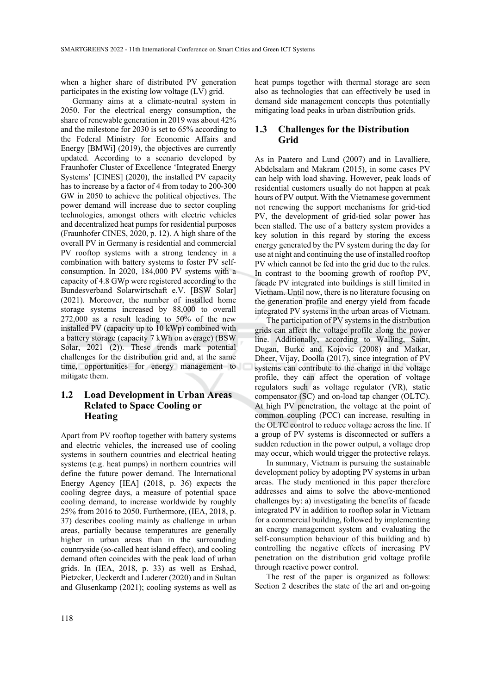when a higher share of distributed PV generation participates in the existing low voltage (LV) grid.

Germany aims at a climate-neutral system in 2050. For the electrical energy consumption, the share of renewable generation in 2019 was about 42% and the milestone for 2030 is set to 65% according to the Federal Ministry for Economic Affairs and Energy [BMWi] (2019), the objectives are currently updated. According to a scenario developed by Fraunhofer Cluster of Excellence 'Integrated Energy Systems' [CINES] (2020), the installed PV capacity has to increase by a factor of 4 from today to 200-300 GW in 2050 to achieve the political objectives. The power demand will increase due to sector coupling technologies, amongst others with electric vehicles and decentralized heat pumps for residential purposes (Fraunhofer CINES, 2020, p. 12). A high share of the overall PV in Germany is residential and commercial PV rooftop systems with a strong tendency in a combination with battery systems to foster PV selfconsumption. In 2020, 184,000 PV systems with a capacity of 4.8 GWp were registered according to the Bundesverband Solarwirtschaft e.V. [BSW Solar] (2021). Moreover, the number of installed home storage systems increased by 88,000 to overall 272,000 as a result leading to 50% of the new installed PV (capacity up to 10 kWp) combined with a battery storage (capacity 7 kWh on average) (BSW Solar, 2021 (2)). These trends mark potential challenges for the distribution grid and, at the same time, opportunities for energy management to mitigate them.

### **1.2 Load Development in Urban Areas Related to Space Cooling or Heating**

Apart from PV rooftop together with battery systems and electric vehicles, the increased use of cooling systems in southern countries and electrical heating systems (e.g. heat pumps) in northern countries will define the future power demand. The International Energy Agency [IEA] (2018, p. 36) expects the cooling degree days, a measure of potential space cooling demand, to increase worldwide by roughly 25% from 2016 to 2050. Furthermore, (IEA, 2018, p. 37) describes cooling mainly as challenge in urban areas, partially because temperatures are generally higher in urban areas than in the surrounding countryside (so-called heat island effect), and cooling demand often coincides with the peak load of urban grids. In (IEA, 2018, p. 33) as well as Ershad, Pietzcker, Ueckerdt and Luderer (2020) and in Sultan and Glusenkamp (2021); cooling systems as well as heat pumps together with thermal storage are seen also as technologies that can effectively be used in demand side management concepts thus potentially mitigating load peaks in urban distribution grids.

#### **1.3 Challenges for the Distribution Grid**

As in Paatero and Lund (2007) and in Lavalliere, Abdelsalam and Makram (2015), in some cases PV can help with load shaving. However, peak loads of residential customers usually do not happen at peak hours of PV output. With the Vietnamese government not renewing the support mechanisms for grid-tied PV, the development of grid-tied solar power has been stalled. The use of a battery system provides a key solution in this regard by storing the excess energy generated by the PV system during the day for use at night and continuing the use of installed rooftop PV which cannot be fed into the grid due to the rules. In contrast to the booming growth of rooftop PV, facade PV integrated into buildings is still limited in Vietnam. Until now, there is no literature focusing on the generation profile and energy yield from facade integrated PV systems in the urban areas of Vietnam.

The participation of PV systems in the distribution grids can affect the voltage profile along the power line. Additionally, according to Walling, Saint, Dugan, Burke and Kojovic (2008) and Matkar, Dheer, Vijay, Doolla (2017), since integration of PV systems can contribute to the change in the voltage profile, they can affect the operation of voltage regulators such as voltage regulator (VR), static compensator (SC) and on-load tap changer (OLTC). At high PV penetration, the voltage at the point of common coupling (PCC) can increase, resulting in the OLTC control to reduce voltage across the line. If a group of PV systems is disconnected or suffers a sudden reduction in the power output, a voltage drop may occur, which would trigger the protective relays.

In summary, Vietnam is pursuing the sustainable development policy by adopting PV systems in urban areas. The study mentioned in this paper therefore addresses and aims to solve the above-mentioned challenges by: a) investigating the benefits of facade integrated PV in addition to rooftop solar in Vietnam for a commercial building, followed by implementing an energy management system and evaluating the self-consumption behaviour of this building and b) controlling the negative effects of increasing PV penetration on the distribution grid voltage profile through reactive power control.

The rest of the paper is organized as follows: Section 2 describes the state of the art and on-going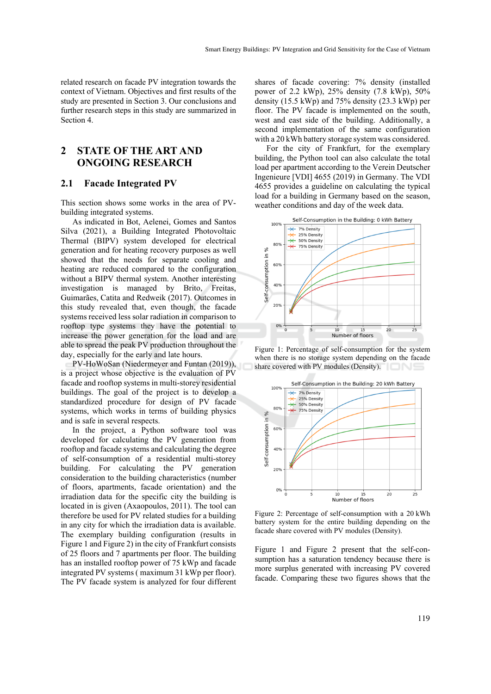related research on facade PV integration towards the context of Vietnam. Objectives and first results of the study are presented in Section 3. Our conclusions and further research steps in this study are summarized in Section 4.

## **2 STATE OF THE ART AND ONGOING RESEARCH**

#### **2.1 Facade Integrated PV**

This section shows some works in the area of PVbuilding integrated systems.

As indicated in Bot, Aelenei, Gomes and Santos Silva (2021), a Building Integrated Photovoltaic Thermal (BIPV) system developed for electrical generation and for heating recovery purposes as well showed that the needs for separate cooling and heating are reduced compared to the configuration without a BIPV thermal system. Another interesting investigation is managed by Brito, Freitas, Guimarães, Catita and Redweik (2017). Outcomes in this study revealed that, even though, the facade systems received less solar radiation in comparison to rooftop type systems they have the potential to increase the power generation for the load and are able to spread the peak PV production throughout the day, especially for the early and late hours.

PV-HoWoSan (Niedermeyer and Funtan (2019)), is a project whose objective is the evaluation of PV facade and rooftop systems in multi-storey residential buildings. The goal of the project is to develop a standardized procedure for design of PV facade systems, which works in terms of building physics and is safe in several respects.

In the project, a Python software tool was developed for calculating the PV generation from rooftop and facade systems and calculating the degree of self-consumption of a residential multi-storey building. For calculating the PV generation consideration to the building characteristics (number of floors, apartments, facade orientation) and the irradiation data for the specific city the building is located in is given (Axaopoulos, 2011). The tool can therefore be used for PV related studies for a building in any city for which the irradiation data is available. The exemplary building configuration (results in Figure 1 and Figure 2) in the city of Frankfurt consists of 25 floors and 7 apartments per floor. The building has an installed rooftop power of 75 kWp and facade integrated PV systems ( maximum 31 kWp per floor). The PV facade system is analyzed for four different

shares of facade covering: 7% density (installed power of 2.2 kWp), 25% density (7.8 kWp), 50% density (15.5 kWp) and 75% density (23.3 kWp) per floor. The PV facade is implemented on the south, west and east side of the building. Additionally, a second implementation of the same configuration with a 20 kWh battery storage system was considered.

For the city of Frankfurt, for the exemplary building, the Python tool can also calculate the total load per apartment according to the Verein Deutscher Ingenieure [VDI] 4655 (2019) in Germany. The VDI 4655 provides a guideline on calculating the typical load for a building in Germany based on the season, weather conditions and day of the week data.



Figure 1: Percentage of self-consumption for the system when there is no storage system depending on the facade share covered with PV modules (Density).



Figure 2: Percentage of self-consumption with a 20 kWh battery system for the entire building depending on the facade share covered with PV modules (Density).

Figure 1 and Figure 2 present that the self-consumption has a saturation tendency because there is more surplus generated with increasing PV covered facade. Comparing these two figures shows that the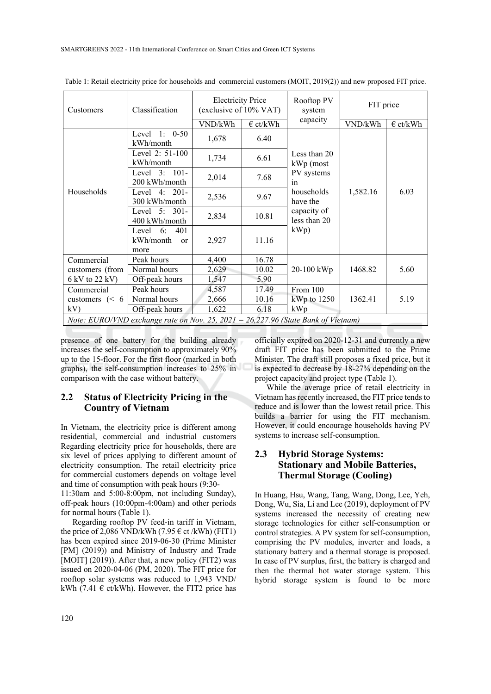| Customers                                                                           | Classification                                    | <b>Electricity Price</b><br>(exclusive of 10% VAT) |                   | Rooftop PV<br>system                                                                  | FIT price |                   |
|-------------------------------------------------------------------------------------|---------------------------------------------------|----------------------------------------------------|-------------------|---------------------------------------------------------------------------------------|-----------|-------------------|
|                                                                                     |                                                   | VND/kWh                                            | $\epsilon$ ct/kWh | capacity                                                                              | VND/kWh   | $\epsilon$ ct/kWh |
| Households                                                                          | Level 1: $0-50$<br>kWh/month                      | 1,678                                              | 6.40              | Less than 20<br>$kWp$ (most<br>PV systems<br>in<br>households<br>1,582.16<br>have the |           |                   |
|                                                                                     | Level $2: 51-100$<br>kWh/month                    | 1,734                                              | 6.61              |                                                                                       |           |                   |
|                                                                                     | Level $3:101-$<br>200 kWh/month                   | 2,014                                              | 7.68              |                                                                                       |           |                   |
|                                                                                     | Level $4: 201 -$<br>300 kWh/month                 | 2,536                                              | 9.67              |                                                                                       | 6.03      |                   |
|                                                                                     | Level $5: 301-$<br>400 kWh/month                  | 2,834                                              | 10.81             | capacity of<br>less than 20                                                           |           |                   |
|                                                                                     | 401<br>Level 6:<br>kWh/month<br><b>or</b><br>more | 2,927                                              | 11.16             | kWp)                                                                                  |           |                   |
| Commercial<br>customers (from<br>6 kV to 22 kV)                                     | Peak hours                                        | 4,400                                              | 16.78             | 20-100 kWp                                                                            | 1468.82   | 5.60              |
|                                                                                     | Normal hours                                      | 2,629                                              | 10.02             |                                                                                       |           |                   |
|                                                                                     | Off-peak hours                                    | 1,547                                              | 5.90              |                                                                                       |           |                   |
| Commercial<br>customers $(< 6$<br>kV                                                | Peak hours                                        | 4,587                                              | 17.49             | From 100<br>$kWp$ to 1250<br>kWp                                                      | 1362.41   | 5.19              |
|                                                                                     | Normal hours                                      | 2,666                                              | 10.16             |                                                                                       |           |                   |
|                                                                                     | Off-peak hours                                    | 1,622                                              | 6.18              |                                                                                       |           |                   |
| Note: EURO/VND exchange rate on Nov. 25, $2021 = 26,227.96$ (State Bank of Vietnam) |                                                   |                                                    |                   |                                                                                       |           |                   |

Table 1: Retail electricity price for households and commercial customers (MOIT, 2019(2)) and new proposed FIT price.

presence of one battery for the building already increases the self-consumption to approximately 90% up to the 15-floor. For the first floor (marked in both graphs), the self-consumption increases to 25% in comparison with the case without battery.

#### **2.2 Status of Electricity Pricing in the Country of Vietnam**

In Vietnam, the electricity price is different among residential, commercial and industrial customers Regarding electricity price for households, there are six level of prices applying to different amount of electricity consumption. The retail electricity price for commercial customers depends on voltage level and time of consumption with peak hours (9:30-

11:30am and 5:00-8:00pm, not including Sunday), off-peak hours (10:00pm-4:00am) and other periods for normal hours (Table 1).

Regarding rooftop PV feed-in tariff in Vietnam, the price of 2,086 VND/kWh (7.95  $\epsilon$  ct/kWh) (FIT1) has been expired since 2019-06-30 (Prime Minister [PM] (2019)) and Ministry of Industry and Trade [MOIT] (2019)). After that, a new policy (FIT2) was issued on 2020-04-06 (PM, 2020). The FIT price for rooftop solar systems was reduced to 1,943 VND/ kWh (7.41  $\epsilon$  ct/kWh). However, the FIT2 price has officially expired on 2020-12-31 and currently a new draft FIT price has been submitted to the Prime Minister. The draft still proposes a fixed price, but it is expected to decrease by 18-27% depending on the project capacity and project type (Table 1).

While the average price of retail electricity in Vietnam has recently increased, the FIT price tends to reduce and is lower than the lowest retail price. This builds a barrier for using the FIT mechanism. However, it could encourage households having PV systems to increase self-consumption.

### **2.3 Hybrid Storage Systems: Stationary and Mobile Batteries, Thermal Storage (Cooling)**

In Huang, Hsu, Wang, Tang, Wang, Dong, Lee, Yeh, Dong, Wu, Sia, Li and Lee (2019), deployment of PV systems increased the necessity of creating new storage technologies for either self-consumption or control strategies. A PV system for self-consumption, comprising the PV modules, inverter and loads, a stationary battery and a thermal storage is proposed. In case of PV surplus, first, the battery is charged and then the thermal hot water storage system. This hybrid storage system is found to be more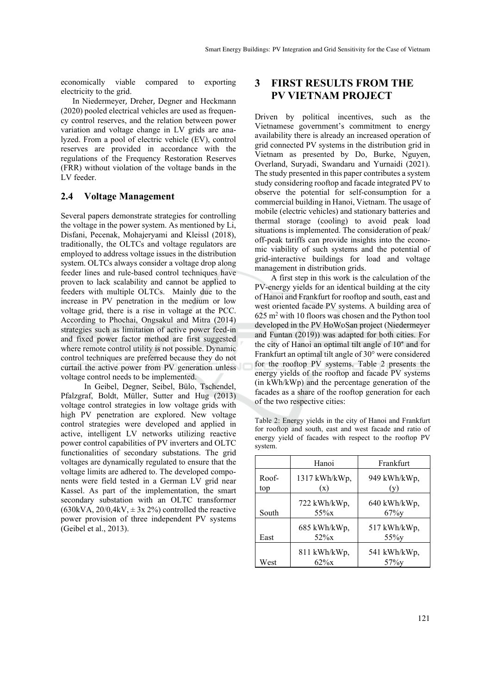economically viable compared to exporting electricity to the grid.

In Niedermeyer, Dreher, Degner and Heckmann (2020) pooled electrical vehicles are used as frequency control reserves, and the relation between power variation and voltage change in LV grids are analyzed. From a pool of electric vehicle (EV), control reserves are provided in accordance with the regulations of the Frequency Restoration Reserves (FRR) without violation of the voltage bands in the LV feeder.

#### **2.4 Voltage Management**

Several papers demonstrate strategies for controlling the voltage in the power system. As mentioned by Li, Disfani, Pecenak, Mohajeryami and Kleissl (2018), traditionally, the OLTCs and voltage regulators are employed to address voltage issues in the distribution system. OLTCs always consider a voltage drop along feeder lines and rule-based control techniques have proven to lack scalability and cannot be applied to feeders with multiple OLTCs. Mainly due to the increase in PV penetration in the medium or low voltage grid, there is a rise in voltage at the PCC. According to Phochai, Ongsakul and Mitra (2014) strategies such as limitation of active power feed-in and fixed power factor method are first suggested where remote control utility is not possible. Dynamic control techniques are preferred because they do not curtail the active power from PV generation unless voltage control needs to be implemented.

 In Geibel, Degner, Seibel, Bülo, Tschendel, Pfalzgraf, Boldt, Müller, Sutter and Hug (2013) voltage control strategies in low voltage grids with high PV penetration are explored. New voltage control strategies were developed and applied in active, intelligent LV networks utilizing reactive power control capabilities of PV inverters and OLTC functionalities of secondary substations. The grid voltages are dynamically regulated to ensure that the voltage limits are adhered to. The developed components were field tested in a German LV grid near Kassel. As part of the implementation, the smart secondary substation with an OLTC transformer  $(630kVA, 20/0, 4kV, \pm 3x 2%)$  controlled the reactive power provision of three independent PV systems (Geibel et al., 2013).

## **3 FIRST RESULTS FROM THE PV VIETNAM PROJECT**

Driven by political incentives, such as the Vietnamese government's commitment to energy availability there is already an increased operation of grid connected PV systems in the distribution grid in Vietnam as presented by Do, Burke, Nguyen, Overland, Suryadi, Swandaru and Yurnaidi (2021). The study presented in this paper contributes a system study considering rooftop and facade integrated PV to observe the potential for self-consumption for a commercial building in Hanoi, Vietnam. The usage of mobile (electric vehicles) and stationary batteries and thermal storage (cooling) to avoid peak load situations is implemented. The consideration of peak/ off-peak tariffs can provide insights into the economic viability of such systems and the potential of grid-interactive buildings for load and voltage management in distribution grids.

 A first step in this work is the calculation of the PV-energy yields for an identical building at the city of Hanoi and Frankfurt for rooftop and south, east and west oriented facade PV systems. A building area of  $625 \text{ m}^2$  with 10 floors was chosen and the Python tool developed in the PV HoWoSan project (Niedermeyer and Funtan (2019)) was adapted for both cities. For the city of Hanoi an optimal tilt angle of 10° and for Frankfurt an optimal tilt angle of 30° were considered for the rooftop PV systems. Table 2 presents the energy yields of the rooftop and facade PV systems (in kWh/kWp) and the percentage generation of the facades as a share of the rooftop generation for each of the two respective cities:

Table 2: Energy yields in the city of Hanoi and Frankfurt for rooftop and south, east and west facade and ratio of energy yield of facades with respect to the rooftop PV system.

|              | Hanoi                   | Frankfurt                |  |  |
|--------------|-------------------------|--------------------------|--|--|
| Roof-<br>top | 1317 kWh/kWp,<br>(x)    | 949 kWh/kWp,<br>(v)      |  |  |
| South        | 722 kWh/kWp,<br>$55\%x$ | 640 kWh/kWp,<br>$67\%$ y |  |  |
| East         | 685 kWh/kWp,<br>$52\%x$ | 517 kWh/kWp,<br>$55\%$ y |  |  |
| West         | 811 kWh/kWp,<br>$62\%x$ | 541 kWh/kWp,<br>$57\%$ v |  |  |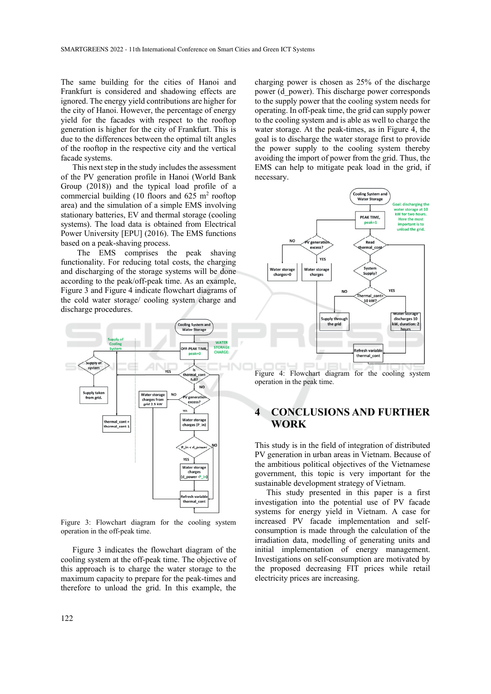The same building for the cities of Hanoi and Frankfurt is considered and shadowing effects are ignored. The energy yield contributions are higher for the city of Hanoi. However, the percentage of energy yield for the facades with respect to the rooftop generation is higher for the city of Frankfurt. This is due to the differences between the optimal tilt angles of the rooftop in the respective city and the vertical facade systems.

This next step in the study includes the assessment of the PV generation profile in Hanoi (World Bank Group (2018)) and the typical load profile of a commercial building (10 floors and  $625 \text{ m}^2$  rooftop area) and the simulation of a simple EMS involving stationary batteries, EV and thermal storage (cooling systems). The load data is obtained from Electrical Power University [EPU] (2016). The EMS functions based on a peak-shaving process.

 The EMS comprises the peak shaving functionality. For reducing total costs, the charging and discharging of the storage systems will be done according to the peak/off-peak time. As an example, Figure 3 and Figure 4 indicate flowchart diagrams of the cold water storage/ cooling system charge and discharge procedures.



Figure 3: Flowchart diagram for the cooling system operation in the off-peak time.

Figure 3 indicates the flowchart diagram of the cooling system at the off-peak time. The objective of this approach is to charge the water storage to the maximum capacity to prepare for the peak-times and therefore to unload the grid. In this example, the

charging power is chosen as 25% of the discharge power (d\_power). This discharge power corresponds to the supply power that the cooling system needs for operating. In off-peak time, the grid can supply power to the cooling system and is able as well to charge the water storage. At the peak-times, as in Figure 4, the goal is to discharge the water storage first to provide the power supply to the cooling system thereby avoiding the import of power from the grid. Thus, the EMS can help to mitigate peak load in the grid, if necessary.



Figure 4: Flowchart diagram for the cooling system operation in the peak time.

## **4 CONCLUSIONS AND FURTHER WORK**

This study is in the field of integration of distributed PV generation in urban areas in Vietnam. Because of the ambitious political objectives of the Vietnamese government, this topic is very important for the sustainable development strategy of Vietnam.

This study presented in this paper is a first investigation into the potential use of PV facade systems for energy yield in Vietnam. A case for increased PV facade implementation and selfconsumption is made through the calculation of the irradiation data, modelling of generating units and initial implementation of energy management. Investigations on self-consumption are motivated by the proposed decreasing FIT prices while retail electricity prices are increasing.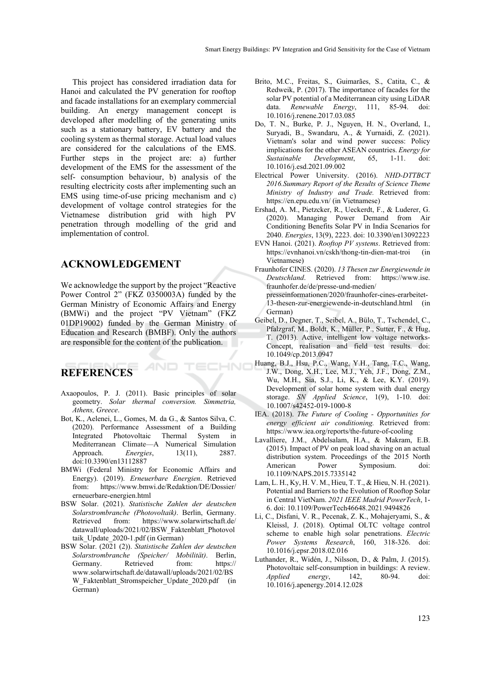This project has considered irradiation data for Hanoi and calculated the PV generation for rooftop and facade installations for an exemplary commercial building. An energy management concept is developed after modelling of the generating units such as a stationary battery, EV battery and the cooling system as thermal storage. Actual load values are considered for the calculations of the EMS. Further steps in the project are: a) further development of the EMS for the assessment of the self- consumption behaviour, b) analysis of the resulting electricity costs after implementing such an EMS using time-of-use pricing mechanism and c) development of voltage control strategies for the Vietnamese distribution grid with high PV penetration through modelling of the grid and implementation of control.

#### **ACKNOWLEDGEMENT**

We acknowledge the support by the project "Reactive Power Control 2" (FKZ 0350003A) funded by the German Ministry of Economic Affairs and Energy (BMWi) and the project "PV Vietnam" (FKZ 01DP19002) funded by the German Ministry of Education and Research (BMBF). Only the authors are responsible for the content of the publication.

# **REFERENCES**

Axaopoulos, P. J. (2011). Basic principles of solar geometry. *Solar thermal conversion. Simmetria, Athens, Greece*.

**HNI** 

- Bot, K., Aelenei, L., Gomes, M. da G., & Santos Silva, C. (2020). Performance Assessment of a Building Integrated Photovoltaic Thermal System in Mediterranean Climate—A Numerical Simulation Approach. *Energies*, 13(11), 2887. doi:10.3390/en13112887
- BMWi (Federal Ministry for Economic Affairs and Energy). (2019). *Erneuerbare Energien*. Retrieved from: https://www.bmwi.de/Redaktion/DE/Dossier/ erneuerbare-energien.html
- BSW Solar. (2021). *Statistische Zahlen der deutschen Solarstrombranche (Photovoltaik)*. Berlin, Germany. Retrieved from: https://www.solarwirtschaft.de/ datawall/uploads/2021/02/BSW\_Faktenblatt\_Photovol taik Update 2020-1.pdf (in German)
- BSW Solar. (2021 (2)). *Statistische Zahlen der deutschen Solarstrombranche (Speicher/ Mobilität)*. Berlin, Germany. Retrieved from: https:// www.solarwirtschaft.de/datawall/uploads/2021/02/BS W\_Faktenblatt\_Stromspeicher\_Update\_2020.pdf (in German)
- Brito, M.C., Freitas, S., Guimarães, S., Catita, C., & Redweik, P. (2017). The importance of facades for the solar PV potential of a Mediterranean city using LiDAR data. *Renewable Energy*, 111, 85-94. doi: 10.1016/j.renene.2017.03.085
- Do, T. N., Burke, P. J., Nguyen, H. N., Overland, I., Suryadi, B., Swandaru, A., & Yurnaidi, Z. (2021). Vietnam's solar and wind power success: Policy implications for the other ASEAN countries. *Energy for Sustainable Development*, 65, 1-11. doi: 10.1016/j.esd.2021.09.002
- Electrical Power University. (2016). *NHD-DTTBCT 2016.Summary Report of the Results of Science Theme Ministry of Industry and Trade.* Retrieved from: https://en.epu.edu.vn/ (in Vietnamese)
- Ershad, A. M., Pietzcker, R., Ueckerdt, F., & Luderer, G. (2020). Managing Power Demand from Air Conditioning Benefits Solar PV in India Scenarios for 2040. *Energies*, 13(9), 2223. doi: 10.3390/en13092223
- EVN Hanoi. (2021). *Rooftop PV systems*. Retrieved from: https://evnhanoi.vn/cskh/thong-tin-dien-mat-troi (in Vietnamese)
- Fraunhofer CINES. (2020). *13 Thesen zur Energiewende in Deutschland*. Retrieved from: https://www.ise. fraunhofer.de/de/presse-und-medien/ presseinformationen/2020/fraunhofer-cines-erarbeitet-13-thesen-zur-energiewende-in-deutschland.html (in German)
- Geibel, D., Degner, T., Seibel, A., Bülo, T., Tschendel, C., Pfalzgraf, M., Boldt, K., Müller, P., Sutter, F., & Hug, T. (2013). Active, intelligent low voltage networks-Concept, realisation and field test results. doi: 10.1049/cp.2013.0947
- Huang, B.J., Hsu, P.C., Wang, Y.H., Tang, T.C., Wang, J.W., Dong, X.H., Lee, M.J., Yeh, J.F., Dong, Z.M., Wu, M.H., Sia, S.J., Li, K., & Lee, K.Y. (2019). Development of solar home system with dual energy storage. *SN Applied Science*, 1(9), 1-10. doi: 10.1007/s42452-019-1000-8
- IEA. (2018). *The Future of Cooling Opportunities for energy efficient air conditioning.* Retrieved from: https://www.iea.org/reports/the-future-of-cooling
- Lavalliere, J.M., Abdelsalam, H.A., & Makram, E.B. (2015). Impact of PV on peak load shaving on an actual distribution system. Proceedings of the 2015 North American Power Symposium. doi: 10.1109/NAPS.2015.7335142
- Lam, L. H., Ky, H. V. M., Hieu, T. T., & Hieu, N. H. (2021). Potential and Barriers to the Evolution of Rooftop Solar in Central VietNam. *2021 IEEE Madrid PowerTech*, 1- 6. doi: 10.1109/PowerTech46648.2021.9494826
- Li, C., Disfani, V. R., Pecenak, Z. K., Mohajeryami, S., & Kleissl, J. (2018). Optimal OLTC voltage control scheme to enable high solar penetrations. *Electric Power Systems Research*, 160, 318-326. doi: 10.1016/j.epsr.2018.02.016
- Luthander, R., Widén, J., Nilsson, D., & Palm, J. (2015). Photovoltaic self-consumption in buildings: A review. *Applied energy*, 142, 80-94. doi: 10.1016/j.apenergy.2014.12.028